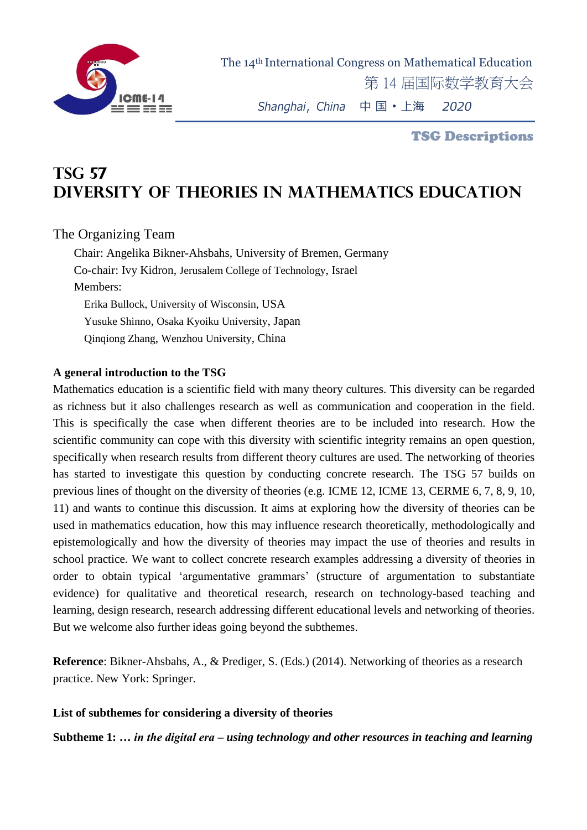

TSG Descriptions

## **TSG 57 Diversity of Theories in Mathematics Education**

## The Organizing Team

Chair: Angelika Bikner-Ahsbahs, University of Bremen, Germany Co-chair: Ivy Kidron, Jerusalem College of Technology, Israel Members: Erika Bullock, University of Wisconsin, USA Yusuke Shinno, Osaka Kyoiku University, Japan Qinqiong Zhang, Wenzhou University, China

## **A general introduction to the TSG**

Mathematics education is a scientific field with many theory cultures. This diversity can be regarded as richness but it also challenges research as well as communication and cooperation in the field. This is specifically the case when different theories are to be included into research. How the scientific community can cope with this diversity with scientific integrity remains an open question, specifically when research results from different theory cultures are used. The networking of theories has started to investigate this question by conducting concrete research. The TSG 57 builds on previous lines of thought on the diversity of theories (e.g. ICME 12, ICME 13, CERME 6, 7, 8, 9, 10, 11) and wants to continue this discussion. It aims at exploring how the diversity of theories can be used in mathematics education, how this may influence research theoretically, methodologically and epistemologically and how the diversity of theories may impact the use of theories and results in school practice. We want to collect concrete research examples addressing a diversity of theories in order to obtain typical 'argumentative grammars' (structure of argumentation to substantiate evidence) for qualitative and theoretical research, research on technology-based teaching and learning, design research, research addressing different educational levels and networking of theories. But we welcome also further ideas going beyond the subthemes.

**Reference**: Bikner-Ahsbahs, A., & Prediger, S. (Eds.) (2014). Networking of theories as a research practice. New York: Springer.

## **List of subthemes for considering a diversity of theories**

**Subtheme 1:** *… in the digital era – using technology and other resources in teaching and learning*